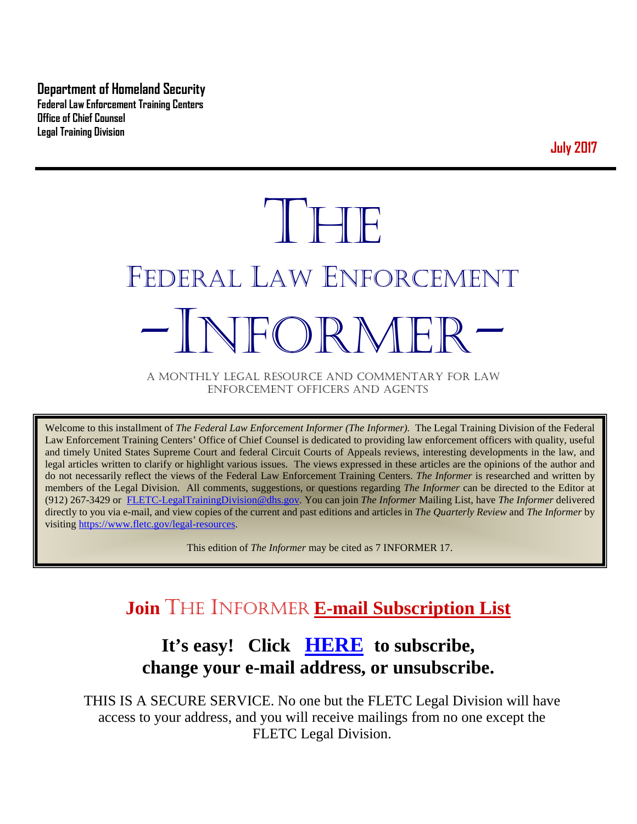**Department of Homeland Security Federal Law Enforcement Training Centers Office of Chief Counsel Legal Training Division** 

**July 2017**

# THE FEDERAL LAW ENFORCEMENT -INFORMER- A MONTHLY LEGAL RESOURCE AND COMMENTARY FOR LAW

ENFORCEMENT OFFICERS AND AGENTS

Welcome to this installment of *The Federal Law Enforcement Informer (The Informer).* The Legal Training Division of the Federal Law Enforcement Training Centers' Office of Chief Counsel is dedicated to providing law enforcement officers with quality, useful and timely United States Supreme Court and federal Circuit Courts of Appeals reviews, interesting developments in the law, and legal articles written to clarify or highlight various issues. The views expressed in these articles are the opinions of the author and do not necessarily reflect the views of the Federal Law Enforcement Training Centers. *The Informer* is researched and written by members of the Legal Division. All comments, suggestions, or questions regarding *The Informer* can be directed to the Editor at (912) 267-3429 or [FLETC-LegalTrainingDivision@dhs.gov.](mailto:FLETC-LegalTrainingDivision@dhs.gov) You can join *The Informer* Mailing List, have *The Informer* delivered directly to you via e-mail, and view copies of the current and past editions and articles in *The Quarterly Review* and *The Informer* by visiting [https://www.fletc.gov/legal-resources.](https://www.fletc.gov/legal-resources) 

This edition of *The Informer* may be cited as 7 INFORMER 17.

## **Join** THE INFORMER **E-mail Subscription List**

## **It's easy! Click [HERE](http://peach.ease.lsoft.com/scripts/wa.exe?SUBED1=fletclgd&A=1) to subscribe, change your e-mail address, or unsubscribe.**

THIS IS A SECURE SERVICE. No one but the FLETC Legal Division will have access to your address, and you will receive mailings from no one except the FLETC Legal Division.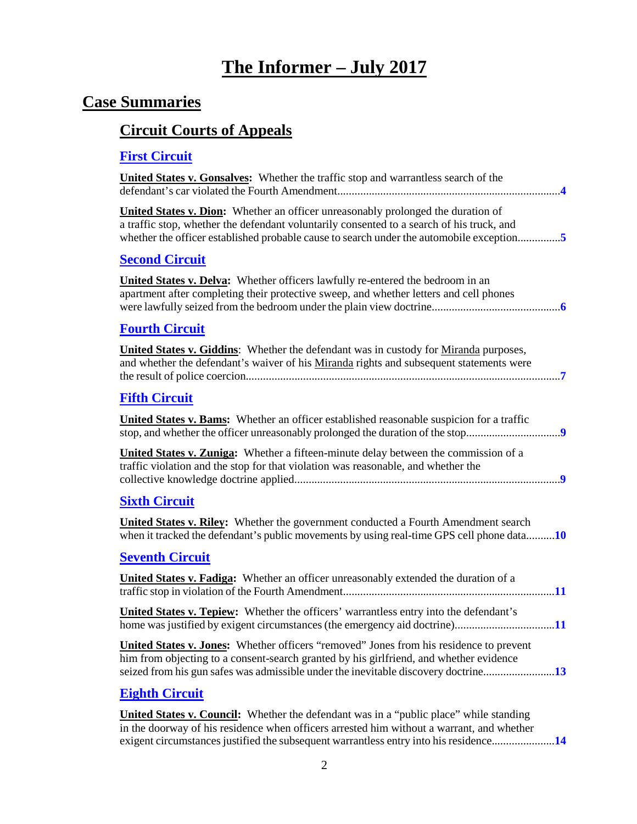## **The Informer – July 2017**

## **Case Summaries**

## **[Circuit Courts of Appeals](#page-3-0)**

## **[First Circuit](#page-3-1)**

| <b>United States v. Gonsalves:</b> Whether the traffic stop and warrantless search of the                                                                                                                                                                                        |
|----------------------------------------------------------------------------------------------------------------------------------------------------------------------------------------------------------------------------------------------------------------------------------|
| <b>United States v. Dion:</b> Whether an officer unreasonably prolonged the duration of<br>a traffic stop, whether the defendant voluntarily consented to a search of his truck, and<br>whether the officer established probable cause to search under the automobile exception5 |
| <b>Second Circuit</b>                                                                                                                                                                                                                                                            |
| <b>United States v. Delva:</b> Whether officers lawfully re-entered the bedroom in an<br>apartment after completing their protective sweep, and whether letters and cell phones                                                                                                  |
| <b>Fourth Circuit</b>                                                                                                                                                                                                                                                            |
| <b>United States v. Giddins:</b> Whether the defendant was in custody for <u>Miranda</u> purposes,<br>and whether the defendant's waiver of his Miranda rights and subsequent statements were                                                                                    |
| <b>Fifth Circuit</b>                                                                                                                                                                                                                                                             |
| United States v. Bams: Whether an officer established reasonable suspicion for a traffic                                                                                                                                                                                         |
| <b>United States v. Zuniga:</b> Whether a fifteen-minute delay between the commission of a<br>traffic violation and the stop for that violation was reasonable, and whether the                                                                                                  |
| <b>Sixth Circuit</b>                                                                                                                                                                                                                                                             |
| <b>United States v. Riley:</b> Whether the government conducted a Fourth Amendment search<br>when it tracked the defendant's public movements by using real-time GPS cell phone data10                                                                                           |
| <b>Seventh Circuit</b>                                                                                                                                                                                                                                                           |
| United States v. Fadiga: Whether an officer unreasonably extended the duration of a                                                                                                                                                                                              |
| United States v. Tepiew: Whether the officers' warrantless entry into the defendant's                                                                                                                                                                                            |
| United States v. Jones: Whether officers "removed" Jones from his residence to prevent<br>him from objecting to a consent-search granted by his girlfriend, and whether evidence<br>seized from his gun safes was admissible under the inevitable discovery doctrine13           |
| <b>Eighth Circuit</b>                                                                                                                                                                                                                                                            |
| <b>United States v. Council:</b> Whether the defendant was in a "public place" while standing                                                                                                                                                                                    |

in the doorway of his residence when officers arrested him without a warrant, and whether exigent circumstances justified the subsequent warrantless entry into his residence......................**[14](#page-13-1)**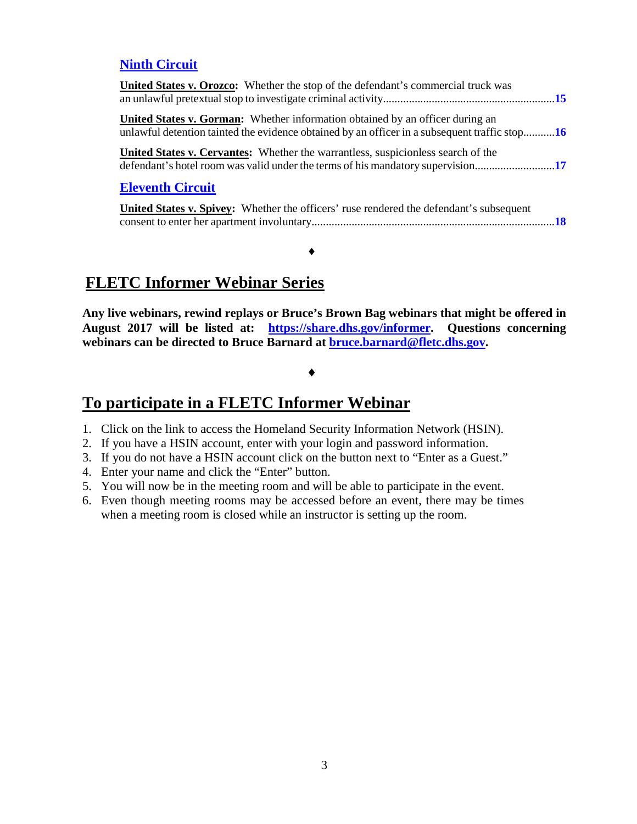#### **[Ninth Circuit](#page-14-0)**

| <b>United States v. Orozco:</b> Whether the stop of the defendant's commercial truck was                                                                                              |  |
|---------------------------------------------------------------------------------------------------------------------------------------------------------------------------------------|--|
| <b>United States v. Gorman:</b> Whether information obtained by an officer during an<br>unlawful detention tainted the evidence obtained by an officer in a subsequent traffic stop16 |  |
| <b>United States v. Cervantes:</b> Whether the warrantless, suspicionless search of the                                                                                               |  |
| <b>Eleventh Circuit</b>                                                                                                                                                               |  |

| <b>United States v. Spivey:</b> Whether the officers' ruse rendered the defendant's subsequent |  |
|------------------------------------------------------------------------------------------------|--|
|                                                                                                |  |

## **FLETC Informer Webinar Series**

**Any live webinars, rewind replays or Bruce's Brown Bag webinars that might be offered in August 2017 will be listed at: [https://share.dhs.gov/informer.](https://share.dhs.gov/informer) Questions concerning webinars can be directed to Bruce Barnard at [bruce.barnard@fletc.dhs.gov.](mailto:bruce.barnard@fletc.dhs.gov)**

#### ♦

♦

## **To participate in a FLETC Informer Webinar**

- 1. Click on the link to access the Homeland Security Information Network (HSIN).
- 2. If you have a HSIN account, enter with your login and password information.
- 3. If you do not have a HSIN account click on the button next to "Enter as a Guest."
- 4. Enter your name and click the "Enter" button.
- 5. You will now be in the meeting room and will be able to participate in the event.
- 6. Even though meeting rooms may be accessed before an event, there may be times when a meeting room is closed while an instructor is setting up the room.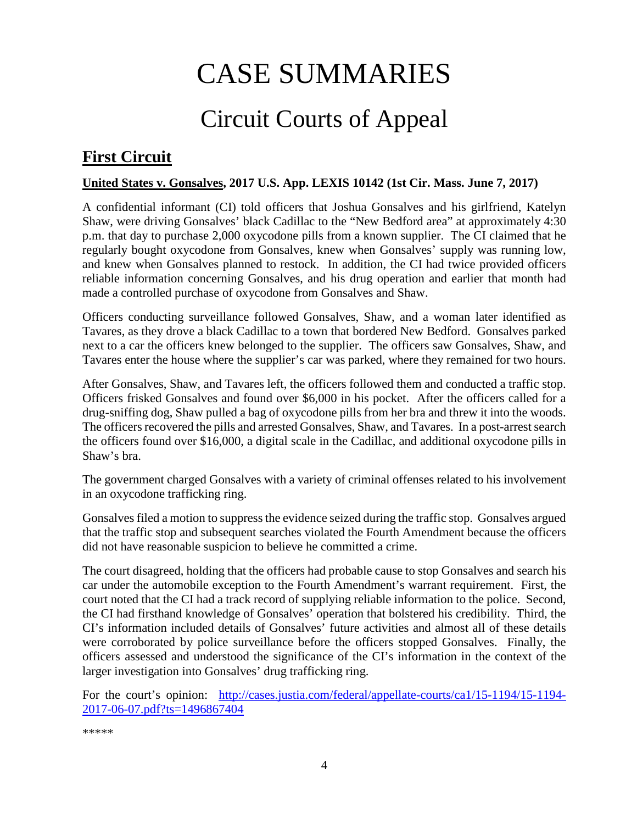# CASE SUMMARIES

# Circuit Courts of Appeal

## <span id="page-3-1"></span><span id="page-3-0"></span>**First Circuit**

#### <span id="page-3-2"></span>**United States v. Gonsalves, 2017 U.S. App. LEXIS 10142 (1st Cir. Mass. June 7, 2017)**

A confidential informant (CI) told officers that Joshua Gonsalves and his girlfriend, Katelyn Shaw, were driving Gonsalves' black Cadillac to the "New Bedford area" at approximately 4:30 p.m. that day to purchase 2,000 oxycodone pills from a known supplier. The CI claimed that he regularly bought oxycodone from Gonsalves, knew when Gonsalves' supply was running low, and knew when Gonsalves planned to restock. In addition, the CI had twice provided officers reliable information concerning Gonsalves, and his drug operation and earlier that month had made a controlled purchase of oxycodone from Gonsalves and Shaw.

Officers conducting surveillance followed Gonsalves, Shaw, and a woman later identified as Tavares, as they drove a black Cadillac to a town that bordered New Bedford. Gonsalves parked next to a car the officers knew belonged to the supplier. The officers saw Gonsalves, Shaw, and Tavares enter the house where the supplier's car was parked, where they remained for two hours.

After Gonsalves, Shaw, and Tavares left, the officers followed them and conducted a traffic stop. Officers frisked Gonsalves and found over \$6,000 in his pocket. After the officers called for a drug-sniffing dog, Shaw pulled a bag of oxycodone pills from her bra and threw it into the woods. The officers recovered the pills and arrested Gonsalves, Shaw, and Tavares. In a post-arrest search the officers found over \$16,000, a digital scale in the Cadillac, and additional oxycodone pills in Shaw's bra.

The government charged Gonsalves with a variety of criminal offenses related to his involvement in an oxycodone trafficking ring.

Gonsalves filed a motion to suppress the evidence seized during the traffic stop. Gonsalves argued that the traffic stop and subsequent searches violated the Fourth Amendment because the officers did not have reasonable suspicion to believe he committed a crime.

The court disagreed, holding that the officers had probable cause to stop Gonsalves and search his car under the automobile exception to the Fourth Amendment's warrant requirement. First, the court noted that the CI had a track record of supplying reliable information to the police. Second, the CI had firsthand knowledge of Gonsalves' operation that bolstered his credibility. Third, the CI's information included details of Gonsalves' future activities and almost all of these details were corroborated by police surveillance before the officers stopped Gonsalves. Finally, the officers assessed and understood the significance of the CI's information in the context of the larger investigation into Gonsalves' drug trafficking ring.

For the court's opinion: [http://cases.justia.com/federal/appellate-courts/ca1/15-1194/15-1194-](http://cases.justia.com/federal/appellate-courts/ca1/15-1194/15-1194-2017-06-07.pdf?ts=1496867404) [2017-06-07.pdf?ts=1496867404](http://cases.justia.com/federal/appellate-courts/ca1/15-1194/15-1194-2017-06-07.pdf?ts=1496867404)

\*\*\*\*\*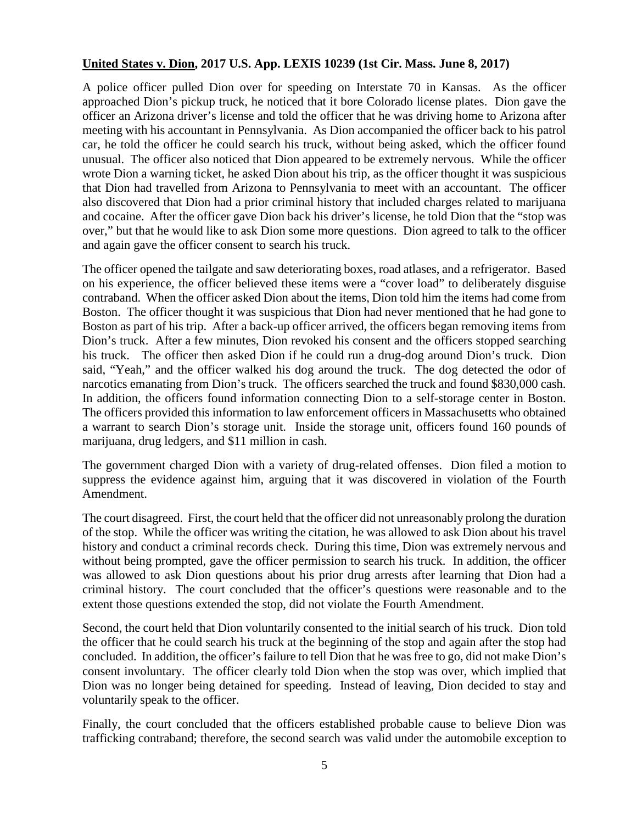#### <span id="page-4-0"></span>**United States v. Dion, 2017 U.S. App. LEXIS 10239 (1st Cir. Mass. June 8, 2017)**

A police officer pulled Dion over for speeding on Interstate 70 in Kansas. As the officer approached Dion's pickup truck, he noticed that it bore Colorado license plates. Dion gave the officer an Arizona driver's license and told the officer that he was driving home to Arizona after meeting with his accountant in Pennsylvania. As Dion accompanied the officer back to his patrol car, he told the officer he could search his truck, without being asked, which the officer found unusual. The officer also noticed that Dion appeared to be extremely nervous. While the officer wrote Dion a warning ticket, he asked Dion about his trip, as the officer thought it was suspicious that Dion had travelled from Arizona to Pennsylvania to meet with an accountant. The officer also discovered that Dion had a prior criminal history that included charges related to marijuana and cocaine. After the officer gave Dion back his driver's license, he told Dion that the "stop was over," but that he would like to ask Dion some more questions. Dion agreed to talk to the officer and again gave the officer consent to search his truck.

The officer opened the tailgate and saw deteriorating boxes, road atlases, and a refrigerator. Based on his experience, the officer believed these items were a "cover load" to deliberately disguise contraband. When the officer asked Dion about the items, Dion told him the items had come from Boston. The officer thought it was suspicious that Dion had never mentioned that he had gone to Boston as part of his trip. After a back-up officer arrived, the officers began removing items from Dion's truck. After a few minutes, Dion revoked his consent and the officers stopped searching his truck. The officer then asked Dion if he could run a drug-dog around Dion's truck. Dion said, "Yeah," and the officer walked his dog around the truck. The dog detected the odor of narcotics emanating from Dion's truck. The officers searched the truck and found \$830,000 cash. In addition, the officers found information connecting Dion to a self-storage center in Boston. The officers provided this information to law enforcement officers in Massachusetts who obtained a warrant to search Dion's storage unit. Inside the storage unit, officers found 160 pounds of marijuana, drug ledgers, and \$11 million in cash.

The government charged Dion with a variety of drug-related offenses. Dion filed a motion to suppress the evidence against him, arguing that it was discovered in violation of the Fourth Amendment.

The court disagreed. First, the court held that the officer did not unreasonably prolong the duration of the stop. While the officer was writing the citation, he was allowed to ask Dion about his travel history and conduct a criminal records check. During this time, Dion was extremely nervous and without being prompted, gave the officer permission to search his truck. In addition, the officer was allowed to ask Dion questions about his prior drug arrests after learning that Dion had a criminal history. The court concluded that the officer's questions were reasonable and to the extent those questions extended the stop, did not violate the Fourth Amendment.

Second, the court held that Dion voluntarily consented to the initial search of his truck. Dion told the officer that he could search his truck at the beginning of the stop and again after the stop had concluded. In addition, the officer's failure to tell Dion that he was free to go, did not make Dion's consent involuntary. The officer clearly told Dion when the stop was over, which implied that Dion was no longer being detained for speeding. Instead of leaving, Dion decided to stay and voluntarily speak to the officer.

Finally, the court concluded that the officers established probable cause to believe Dion was trafficking contraband; therefore, the second search was valid under the automobile exception to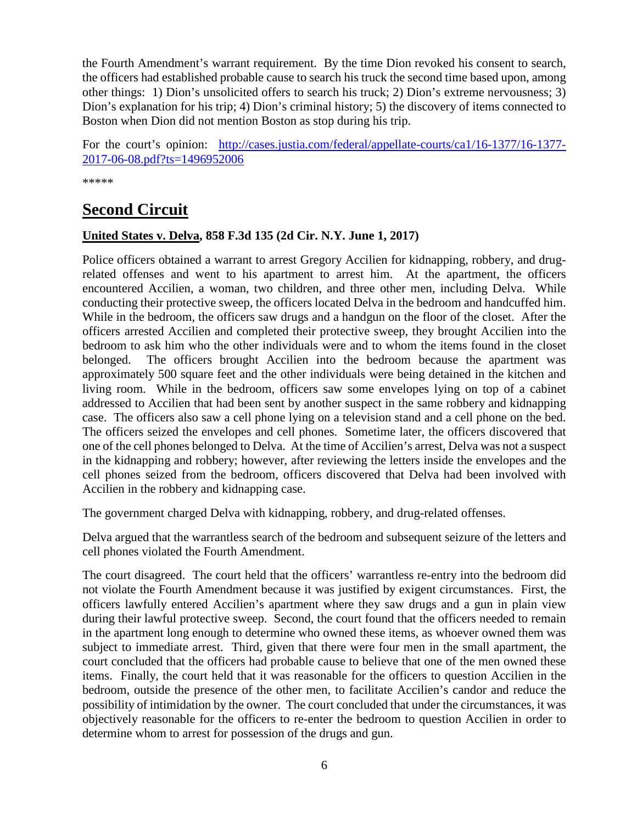the Fourth Amendment's warrant requirement. By the time Dion revoked his consent to search, the officers had established probable cause to search his truck the second time based upon, among other things: 1) Dion's unsolicited offers to search his truck; 2) Dion's extreme nervousness; 3) Dion's explanation for his trip; 4) Dion's criminal history; 5) the discovery of items connected to Boston when Dion did not mention Boston as stop during his trip.

For the court's opinion: [http://cases.justia.com/federal/appellate-courts/ca1/16-1377/16-1377-](http://cases.justia.com/federal/appellate-courts/ca1/16-1377/16-1377-2017-06-08.pdf?ts=1496952006) [2017-06-08.pdf?ts=1496952006](http://cases.justia.com/federal/appellate-courts/ca1/16-1377/16-1377-2017-06-08.pdf?ts=1496952006)

\*\*\*\*\*

## <span id="page-5-0"></span>**Second Circuit**

#### <span id="page-5-1"></span>**United States v. Delva, 858 F.3d 135 (2d Cir. N.Y. June 1, 2017)**

Police officers obtained a warrant to arrest Gregory Accilien for kidnapping, robbery, and drugrelated offenses and went to his apartment to arrest him. At the apartment, the officers encountered Accilien, a woman, two children, and three other men, including Delva. While conducting their protective sweep, the officers located Delva in the bedroom and handcuffed him. While in the bedroom, the officers saw drugs and a handgun on the floor of the closet. After the officers arrested Accilien and completed their protective sweep, they brought Accilien into the bedroom to ask him who the other individuals were and to whom the items found in the closet belonged. The officers brought Accilien into the bedroom because the apartment was approximately 500 square feet and the other individuals were being detained in the kitchen and living room. While in the bedroom, officers saw some envelopes lying on top of a cabinet addressed to Accilien that had been sent by another suspect in the same robbery and kidnapping case. The officers also saw a cell phone lying on a television stand and a cell phone on the bed. The officers seized the envelopes and cell phones. Sometime later, the officers discovered that one of the cell phones belonged to Delva. At the time of Accilien's arrest, Delva was not a suspect in the kidnapping and robbery; however, after reviewing the letters inside the envelopes and the cell phones seized from the bedroom, officers discovered that Delva had been involved with Accilien in the robbery and kidnapping case.

The government charged Delva with kidnapping, robbery, and drug-related offenses.

Delva argued that the warrantless search of the bedroom and subsequent seizure of the letters and cell phones violated the Fourth Amendment.

The court disagreed. The court held that the officers' warrantless re-entry into the bedroom did not violate the Fourth Amendment because it was justified by exigent circumstances. First, the officers lawfully entered Accilien's apartment where they saw drugs and a gun in plain view during their lawful protective sweep. Second, the court found that the officers needed to remain in the apartment long enough to determine who owned these items, as whoever owned them was subject to immediate arrest. Third, given that there were four men in the small apartment, the court concluded that the officers had probable cause to believe that one of the men owned these items. Finally, the court held that it was reasonable for the officers to question Accilien in the bedroom, outside the presence of the other men, to facilitate Accilien's candor and reduce the possibility of intimidation by the owner. The court concluded that under the circumstances, it was objectively reasonable for the officers to re-enter the bedroom to question Accilien in order to determine whom to arrest for possession of the drugs and gun.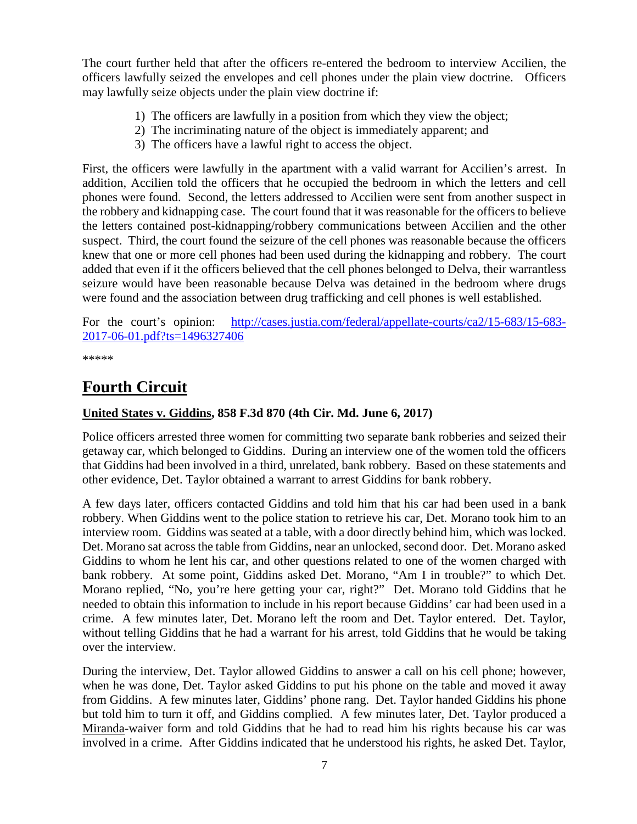The court further held that after the officers re-entered the bedroom to interview Accilien, the officers lawfully seized the envelopes and cell phones under the plain view doctrine. Officers may lawfully seize objects under the plain view doctrine if:

- 1) The officers are lawfully in a position from which they view the object;
- 2) The incriminating nature of the object is immediately apparent; and
- 3) The officers have a lawful right to access the object.

First, the officers were lawfully in the apartment with a valid warrant for Accilien's arrest. In addition, Accilien told the officers that he occupied the bedroom in which the letters and cell phones were found. Second, the letters addressed to Accilien were sent from another suspect in the robbery and kidnapping case. The court found that it was reasonable for the officers to believe the letters contained post-kidnapping/robbery communications between Accilien and the other suspect. Third, the court found the seizure of the cell phones was reasonable because the officers knew that one or more cell phones had been used during the kidnapping and robbery. The court added that even if it the officers believed that the cell phones belonged to Delva, their warrantless seizure would have been reasonable because Delva was detained in the bedroom where drugs were found and the association between drug trafficking and cell phones is well established.

For the court's opinion: [http://cases.justia.com/federal/appellate-courts/ca2/15-683/15-683-](http://cases.justia.com/federal/appellate-courts/ca2/15-683/15-683-2017-06-01.pdf?ts=1496327406) [2017-06-01.pdf?ts=1496327406](http://cases.justia.com/federal/appellate-courts/ca2/15-683/15-683-2017-06-01.pdf?ts=1496327406)

\*\*\*\*\*

## <span id="page-6-0"></span>**Fourth Circuit**

## <span id="page-6-1"></span>**United States v. Giddins, 858 F.3d 870 (4th Cir. Md. June 6, 2017)**

Police officers arrested three women for committing two separate bank robberies and seized their getaway car, which belonged to Giddins. During an interview one of the women told the officers that Giddins had been involved in a third, unrelated, bank robbery. Based on these statements and other evidence, Det. Taylor obtained a warrant to arrest Giddins for bank robbery.

A few days later, officers contacted Giddins and told him that his car had been used in a bank robbery. When Giddins went to the police station to retrieve his car, Det. Morano took him to an interview room. Giddins was seated at a table, with a door directly behind him, which was locked. Det. Morano sat across the table from Giddins, near an unlocked, second door. Det. Morano asked Giddins to whom he lent his car, and other questions related to one of the women charged with bank robbery. At some point, Giddins asked Det. Morano, "Am I in trouble?" to which Det. Morano replied, "No, you're here getting your car, right?" Det. Morano told Giddins that he needed to obtain this information to include in his report because Giddins' car had been used in a crime. A few minutes later, Det. Morano left the room and Det. Taylor entered. Det. Taylor, without telling Giddins that he had a warrant for his arrest, told Giddins that he would be taking over the interview.

During the interview, Det. Taylor allowed Giddins to answer a call on his cell phone; however, when he was done, Det. Taylor asked Giddins to put his phone on the table and moved it away from Giddins. A few minutes later, Giddins' phone rang. Det. Taylor handed Giddins his phone but told him to turn it off, and Giddins complied. A few minutes later, Det. Taylor produced a Miranda-waiver form and told Giddins that he had to read him his rights because his car was involved in a crime. After Giddins indicated that he understood his rights, he asked Det. Taylor,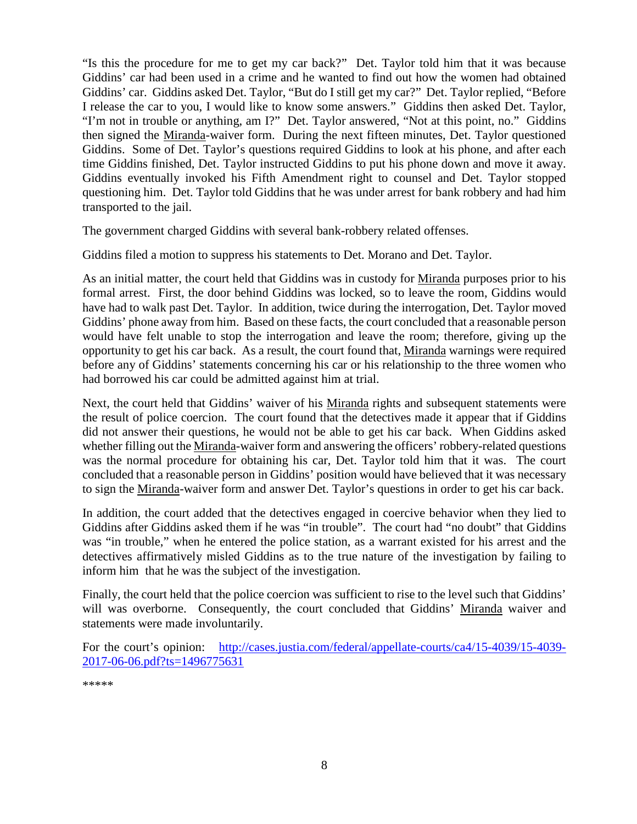"Is this the procedure for me to get my car back?" Det. Taylor told him that it was because Giddins' car had been used in a crime and he wanted to find out how the women had obtained Giddins' car. Giddins asked Det. Taylor, "But do I still get my car?" Det. Taylor replied, "Before I release the car to you, I would like to know some answers." Giddins then asked Det. Taylor, "I'm not in trouble or anything, am I?" Det. Taylor answered, "Not at this point, no." Giddins then signed the Miranda-waiver form. During the next fifteen minutes, Det. Taylor questioned Giddins. Some of Det. Taylor's questions required Giddins to look at his phone, and after each time Giddins finished, Det. Taylor instructed Giddins to put his phone down and move it away. Giddins eventually invoked his Fifth Amendment right to counsel and Det. Taylor stopped questioning him. Det. Taylor told Giddins that he was under arrest for bank robbery and had him transported to the jail.

The government charged Giddins with several bank-robbery related offenses.

Giddins filed a motion to suppress his statements to Det. Morano and Det. Taylor.

As an initial matter, the court held that Giddins was in custody for Miranda purposes prior to his formal arrest. First, the door behind Giddins was locked, so to leave the room, Giddins would have had to walk past Det. Taylor. In addition, twice during the interrogation, Det. Taylor moved Giddins' phone away from him. Based on these facts, the court concluded that a reasonable person would have felt unable to stop the interrogation and leave the room; therefore, giving up the opportunity to get his car back. As a result, the court found that, Miranda warnings were required before any of Giddins' statements concerning his car or his relationship to the three women who had borrowed his car could be admitted against him at trial.

Next, the court held that Giddins' waiver of his Miranda rights and subsequent statements were the result of police coercion. The court found that the detectives made it appear that if Giddins did not answer their questions, he would not be able to get his car back. When Giddins asked whether filling out the Miranda-waiver form and answering the officers' robbery-related questions was the normal procedure for obtaining his car, Det. Taylor told him that it was. The court concluded that a reasonable person in Giddins' position would have believed that it was necessary to sign the Miranda-waiver form and answer Det. Taylor's questions in order to get his car back.

In addition, the court added that the detectives engaged in coercive behavior when they lied to Giddins after Giddins asked them if he was "in trouble". The court had "no doubt" that Giddins was "in trouble," when he entered the police station, as a warrant existed for his arrest and the detectives affirmatively misled Giddins as to the true nature of the investigation by failing to inform him that he was the subject of the investigation.

Finally, the court held that the police coercion was sufficient to rise to the level such that Giddins' will was overborne. Consequently, the court concluded that Giddins' Miranda waiver and statements were made involuntarily.

For the court's opinion: [http://cases.justia.com/federal/appellate-courts/ca4/15-4039/15-4039-](http://cases.justia.com/federal/appellate-courts/ca4/15-4039/15-4039-2017-06-06.pdf?ts=1496775631) [2017-06-06.pdf?ts=1496775631](http://cases.justia.com/federal/appellate-courts/ca4/15-4039/15-4039-2017-06-06.pdf?ts=1496775631)

\*\*\*\*\*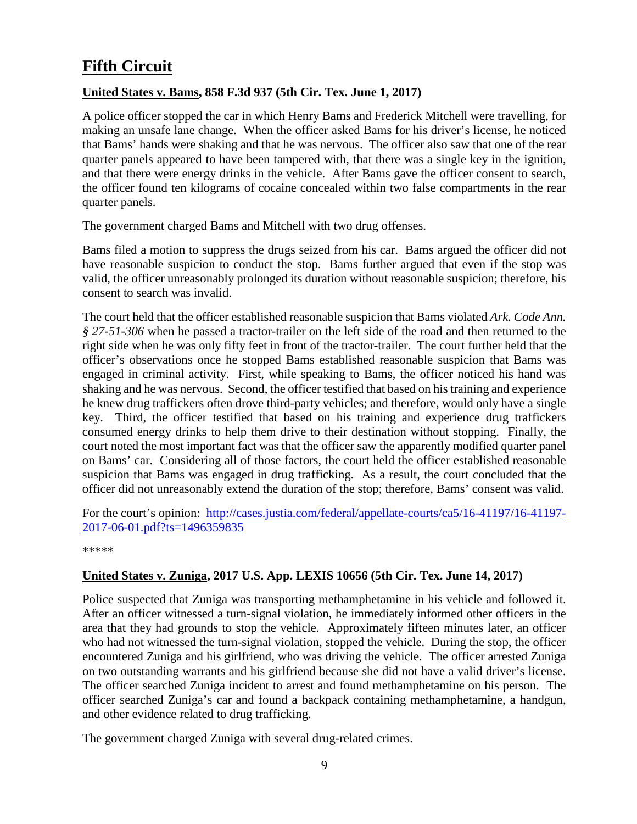## <span id="page-8-0"></span>**Fifth Circuit**

#### <span id="page-8-1"></span>**United States v. Bams, 858 F.3d 937 (5th Cir. Tex. June 1, 2017)**

A police officer stopped the car in which Henry Bams and Frederick Mitchell were travelling, for making an unsafe lane change. When the officer asked Bams for his driver's license, he noticed that Bams' hands were shaking and that he was nervous. The officer also saw that one of the rear quarter panels appeared to have been tampered with, that there was a single key in the ignition, and that there were energy drinks in the vehicle. After Bams gave the officer consent to search, the officer found ten kilograms of cocaine concealed within two false compartments in the rear quarter panels.

The government charged Bams and Mitchell with two drug offenses.

Bams filed a motion to suppress the drugs seized from his car. Bams argued the officer did not have reasonable suspicion to conduct the stop. Bams further argued that even if the stop was valid, the officer unreasonably prolonged its duration without reasonable suspicion; therefore, his consent to search was invalid.

The court held that the officer established reasonable suspicion that Bams violated *Ark. Code Ann. § 27-51-306* when he passed a tractor-trailer on the left side of the road and then returned to the right side when he was only fifty feet in front of the tractor-trailer. The court further held that the officer's observations once he stopped Bams established reasonable suspicion that Bams was engaged in criminal activity. First, while speaking to Bams, the officer noticed his hand was shaking and he was nervous. Second, the officer testified that based on his training and experience he knew drug traffickers often drove third-party vehicles; and therefore, would only have a single key. Third, the officer testified that based on his training and experience drug traffickers consumed energy drinks to help them drive to their destination without stopping. Finally, the court noted the most important fact was that the officer saw the apparently modified quarter panel on Bams' car. Considering all of those factors, the court held the officer established reasonable suspicion that Bams was engaged in drug trafficking. As a result, the court concluded that the officer did not unreasonably extend the duration of the stop; therefore, Bams' consent was valid.

For the court's opinion: [http://cases.justia.com/federal/appellate-courts/ca5/16-41197/16-41197-](http://cases.justia.com/federal/appellate-courts/ca5/16-41197/16-41197-2017-06-01.pdf?ts=1496359835) [2017-06-01.pdf?ts=1496359835](http://cases.justia.com/federal/appellate-courts/ca5/16-41197/16-41197-2017-06-01.pdf?ts=1496359835)

\*\*\*\*\*

#### <span id="page-8-2"></span>**United States v. Zuniga, 2017 U.S. App. LEXIS 10656 (5th Cir. Tex. June 14, 2017)**

Police suspected that Zuniga was transporting methamphetamine in his vehicle and followed it. After an officer witnessed a turn-signal violation, he immediately informed other officers in the area that they had grounds to stop the vehicle. Approximately fifteen minutes later, an officer who had not witnessed the turn-signal violation, stopped the vehicle. During the stop, the officer encountered Zuniga and his girlfriend, who was driving the vehicle. The officer arrested Zuniga on two outstanding warrants and his girlfriend because she did not have a valid driver's license. The officer searched Zuniga incident to arrest and found methamphetamine on his person. The officer searched Zuniga's car and found a backpack containing methamphetamine, a handgun, and other evidence related to drug trafficking.

The government charged Zuniga with several drug-related crimes.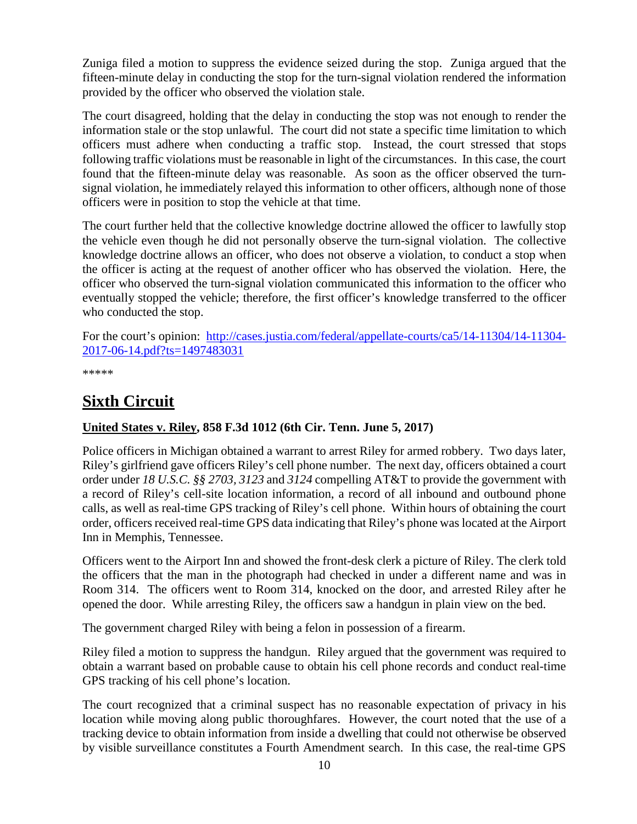Zuniga filed a motion to suppress the evidence seized during the stop. Zuniga argued that the fifteen-minute delay in conducting the stop for the turn-signal violation rendered the information provided by the officer who observed the violation stale.

The court disagreed, holding that the delay in conducting the stop was not enough to render the information stale or the stop unlawful. The court did not state a specific time limitation to which officers must adhere when conducting a traffic stop. Instead, the court stressed that stops following traffic violations must be reasonable in light of the circumstances. In this case, the court found that the fifteen-minute delay was reasonable. As soon as the officer observed the turnsignal violation, he immediately relayed this information to other officers, although none of those officers were in position to stop the vehicle at that time.

The court further held that the collective knowledge doctrine allowed the officer to lawfully stop the vehicle even though he did not personally observe the turn-signal violation. The collective knowledge doctrine allows an officer, who does not observe a violation, to conduct a stop when the officer is acting at the request of another officer who has observed the violation. Here, the officer who observed the turn-signal violation communicated this information to the officer who eventually stopped the vehicle; therefore, the first officer's knowledge transferred to the officer who conducted the stop.

For the court's opinion: [http://cases.justia.com/federal/appellate-courts/ca5/14-11304/14-11304-](http://cases.justia.com/federal/appellate-courts/ca5/14-11304/14-11304-2017-06-14.pdf?ts=1497483031) [2017-06-14.pdf?ts=1497483031](http://cases.justia.com/federal/appellate-courts/ca5/14-11304/14-11304-2017-06-14.pdf?ts=1497483031)

\*\*\*\*\*

## <span id="page-9-0"></span>**Sixth Circuit**

## <span id="page-9-1"></span>**United States v. Riley, 858 F.3d 1012 (6th Cir. Tenn. June 5, 2017)**

Police officers in Michigan obtained a warrant to arrest Riley for armed robbery. Two days later, Riley's girlfriend gave officers Riley's cell phone number. The next day, officers obtained a court order under *18 U.S.C. §§ 2703, 3123* and *3124* compelling AT&T to provide the government with a record of Riley's cell-site location information, a record of all inbound and outbound phone calls, as well as real-time GPS tracking of Riley's cell phone. Within hours of obtaining the court order, officers received real-time GPS data indicating that Riley's phone was located at the Airport Inn in Memphis, Tennessee.

Officers went to the Airport Inn and showed the front-desk clerk a picture of Riley. The clerk told the officers that the man in the photograph had checked in under a different name and was in Room 314. The officers went to Room 314, knocked on the door, and arrested Riley after he opened the door. While arresting Riley, the officers saw a handgun in plain view on the bed.

The government charged Riley with being a felon in possession of a firearm.

Riley filed a motion to suppress the handgun. Riley argued that the government was required to obtain a warrant based on probable cause to obtain his cell phone records and conduct real-time GPS tracking of his cell phone's location.

The court recognized that a criminal suspect has no reasonable expectation of privacy in his location while moving along public thoroughfares. However, the court noted that the use of a tracking device to obtain information from inside a dwelling that could not otherwise be observed by visible surveillance constitutes a Fourth Amendment search. In this case, the real-time GPS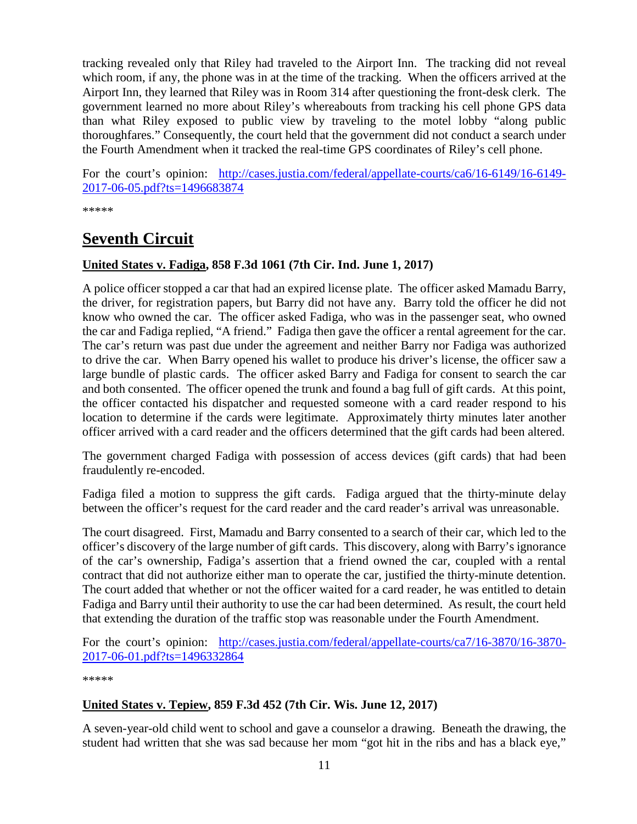tracking revealed only that Riley had traveled to the Airport Inn. The tracking did not reveal which room, if any, the phone was in at the time of the tracking. When the officers arrived at the Airport Inn, they learned that Riley was in Room 314 after questioning the front-desk clerk. The government learned no more about Riley's whereabouts from tracking his cell phone GPS data than what Riley exposed to public view by traveling to the motel lobby "along public thoroughfares." Consequently, the court held that the government did not conduct a search under the Fourth Amendment when it tracked the real-time GPS coordinates of Riley's cell phone.

For the court's opinion: [http://cases.justia.com/federal/appellate-courts/ca6/16-6149/16-6149-](http://cases.justia.com/federal/appellate-courts/ca6/16-6149/16-6149-2017-06-05.pdf?ts=1496683874) [2017-06-05.pdf?ts=1496683874](http://cases.justia.com/federal/appellate-courts/ca6/16-6149/16-6149-2017-06-05.pdf?ts=1496683874)

\*\*\*\*\*

## <span id="page-10-0"></span>**Seventh Circuit**

#### <span id="page-10-1"></span>**United States v. Fadiga, 858 F.3d 1061 (7th Cir. Ind. June 1, 2017)**

A police officer stopped a car that had an expired license plate. The officer asked Mamadu Barry, the driver, for registration papers, but Barry did not have any. Barry told the officer he did not know who owned the car. The officer asked Fadiga, who was in the passenger seat, who owned the car and Fadiga replied, "A friend." Fadiga then gave the officer a rental agreement for the car. The car's return was past due under the agreement and neither Barry nor Fadiga was authorized to drive the car. When Barry opened his wallet to produce his driver's license, the officer saw a large bundle of plastic cards. The officer asked Barry and Fadiga for consent to search the car and both consented. The officer opened the trunk and found a bag full of gift cards. At this point, the officer contacted his dispatcher and requested someone with a card reader respond to his location to determine if the cards were legitimate. Approximately thirty minutes later another officer arrived with a card reader and the officers determined that the gift cards had been altered.

The government charged Fadiga with possession of access devices (gift cards) that had been fraudulently re-encoded.

Fadiga filed a motion to suppress the gift cards. Fadiga argued that the thirty-minute delay between the officer's request for the card reader and the card reader's arrival was unreasonable.

The court disagreed. First, Mamadu and Barry consented to a search of their car, which led to the officer's discovery of the large number of gift cards. This discovery, along with Barry's ignorance of the car's ownership, Fadiga's assertion that a friend owned the car, coupled with a rental contract that did not authorize either man to operate the car, justified the thirty-minute detention. The court added that whether or not the officer waited for a card reader, he was entitled to detain Fadiga and Barry until their authority to use the car had been determined. As result, the court held that extending the duration of the traffic stop was reasonable under the Fourth Amendment.

For the court's opinion: [http://cases.justia.com/federal/appellate-courts/ca7/16-3870/16-3870-](http://cases.justia.com/federal/appellate-courts/ca7/16-3870/16-3870-2017-06-01.pdf?ts=1496332864) [2017-06-01.pdf?ts=1496332864](http://cases.justia.com/federal/appellate-courts/ca7/16-3870/16-3870-2017-06-01.pdf?ts=1496332864)

\*\*\*\*\*

#### <span id="page-10-2"></span>**United States v. Tepiew, 859 F.3d 452 (7th Cir. Wis. June 12, 2017)**

A seven-year-old child went to school and gave a counselor a drawing. Beneath the drawing, the student had written that she was sad because her mom "got hit in the ribs and has a black eye,"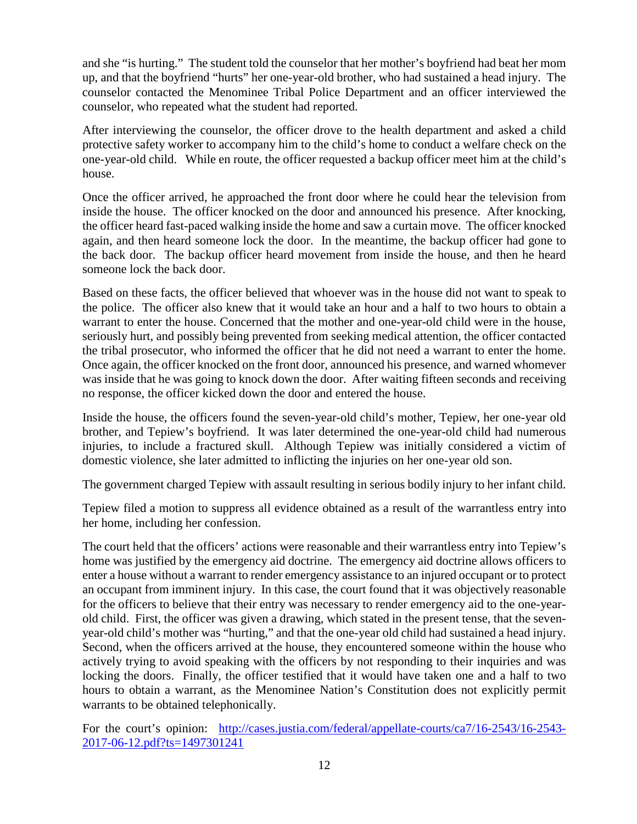and she "is hurting." The student told the counselor that her mother's boyfriend had beat her mom up, and that the boyfriend "hurts" her one-year-old brother, who had sustained a head injury. The counselor contacted the Menominee Tribal Police Department and an officer interviewed the counselor, who repeated what the student had reported.

After interviewing the counselor, the officer drove to the health department and asked a child protective safety worker to accompany him to the child's home to conduct a welfare check on the one-year-old child. While en route, the officer requested a backup officer meet him at the child's house.

Once the officer arrived, he approached the front door where he could hear the television from inside the house. The officer knocked on the door and announced his presence. After knocking, the officer heard fast-paced walking inside the home and saw a curtain move. The officer knocked again, and then heard someone lock the door. In the meantime, the backup officer had gone to the back door. The backup officer heard movement from inside the house, and then he heard someone lock the back door.

Based on these facts, the officer believed that whoever was in the house did not want to speak to the police. The officer also knew that it would take an hour and a half to two hours to obtain a warrant to enter the house. Concerned that the mother and one-year-old child were in the house, seriously hurt, and possibly being prevented from seeking medical attention, the officer contacted the tribal prosecutor, who informed the officer that he did not need a warrant to enter the home. Once again, the officer knocked on the front door, announced his presence, and warned whomever was inside that he was going to knock down the door. After waiting fifteen seconds and receiving no response, the officer kicked down the door and entered the house.

Inside the house, the officers found the seven-year-old child's mother, Tepiew, her one-year old brother, and Tepiew's boyfriend. It was later determined the one-year-old child had numerous injuries, to include a fractured skull. Although Tepiew was initially considered a victim of domestic violence, she later admitted to inflicting the injuries on her one-year old son.

The government charged Tepiew with assault resulting in serious bodily injury to her infant child.

Tepiew filed a motion to suppress all evidence obtained as a result of the warrantless entry into her home, including her confession.

The court held that the officers' actions were reasonable and their warrantless entry into Tepiew's home was justified by the emergency aid doctrine. The emergency aid doctrine allows officers to enter a house without a warrant to render emergency assistance to an injured occupant or to protect an occupant from imminent injury. In this case, the court found that it was objectively reasonable for the officers to believe that their entry was necessary to render emergency aid to the one-yearold child. First, the officer was given a drawing, which stated in the present tense, that the sevenyear-old child's mother was "hurting," and that the one-year old child had sustained a head injury. Second, when the officers arrived at the house, they encountered someone within the house who actively trying to avoid speaking with the officers by not responding to their inquiries and was locking the doors. Finally, the officer testified that it would have taken one and a half to two hours to obtain a warrant, as the Menominee Nation's Constitution does not explicitly permit warrants to be obtained telephonically.

For the court's opinion: [http://cases.justia.com/federal/appellate-courts/ca7/16-2543/16-2543-](http://cases.justia.com/federal/appellate-courts/ca7/16-2543/16-2543-2017-06-12.pdf?ts=1497301241) [2017-06-12.pdf?ts=1497301241](http://cases.justia.com/federal/appellate-courts/ca7/16-2543/16-2543-2017-06-12.pdf?ts=1497301241)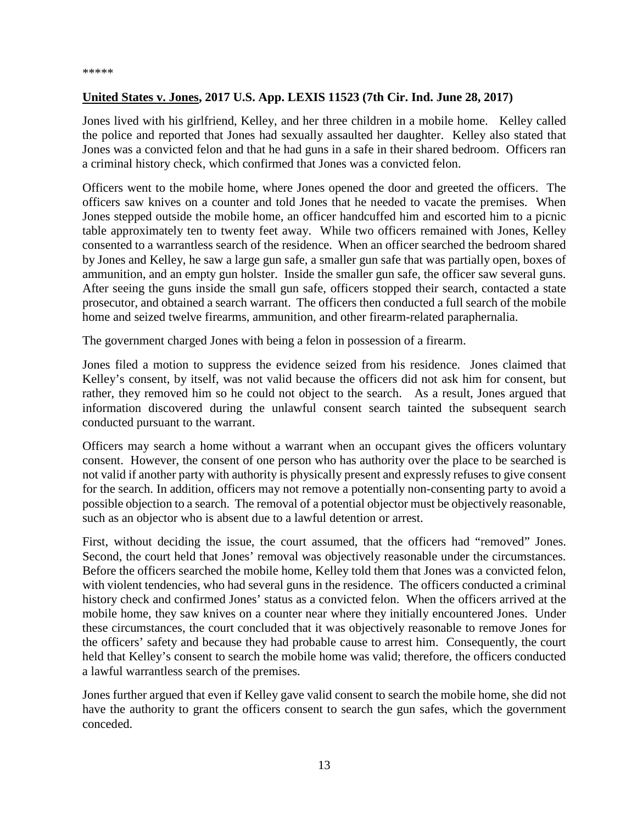#### <span id="page-12-0"></span>**United States v. Jones, 2017 U.S. App. LEXIS 11523 (7th Cir. Ind. June 28, 2017)**

Jones lived with his girlfriend, Kelley, and her three children in a mobile home. Kelley called the police and reported that Jones had sexually assaulted her daughter. Kelley also stated that Jones was a convicted felon and that he had guns in a safe in their shared bedroom. Officers ran a criminal history check, which confirmed that Jones was a convicted felon.

Officers went to the mobile home, where Jones opened the door and greeted the officers. The officers saw knives on a counter and told Jones that he needed to vacate the premises. When Jones stepped outside the mobile home, an officer handcuffed him and escorted him to a picnic table approximately ten to twenty feet away. While two officers remained with Jones, Kelley consented to a warrantless search of the residence. When an officer searched the bedroom shared by Jones and Kelley, he saw a large gun safe, a smaller gun safe that was partially open, boxes of ammunition, and an empty gun holster. Inside the smaller gun safe, the officer saw several guns. After seeing the guns inside the small gun safe, officers stopped their search, contacted a state prosecutor, and obtained a search warrant. The officers then conducted a full search of the mobile home and seized twelve firearms, ammunition, and other firearm-related paraphernalia.

The government charged Jones with being a felon in possession of a firearm.

Jones filed a motion to suppress the evidence seized from his residence. Jones claimed that Kelley's consent, by itself, was not valid because the officers did not ask him for consent, but rather, they removed him so he could not object to the search. As a result, Jones argued that information discovered during the unlawful consent search tainted the subsequent search conducted pursuant to the warrant.

Officers may search a home without a warrant when an occupant gives the officers voluntary consent. However, the consent of one person who has authority over the place to be searched is not valid if another party with authority is physically present and expressly refuses to give consent for the search. In addition, officers may not remove a potentially non-consenting party to avoid a possible objection to a search. The removal of a potential objector must be objectively reasonable, such as an objector who is absent due to a lawful detention or arrest.

First, without deciding the issue, the court assumed, that the officers had "removed" Jones. Second, the court held that Jones' removal was objectively reasonable under the circumstances. Before the officers searched the mobile home, Kelley told them that Jones was a convicted felon, with violent tendencies, who had several guns in the residence. The officers conducted a criminal history check and confirmed Jones' status as a convicted felon. When the officers arrived at the mobile home, they saw knives on a counter near where they initially encountered Jones. Under these circumstances, the court concluded that it was objectively reasonable to remove Jones for the officers' safety and because they had probable cause to arrest him. Consequently, the court held that Kelley's consent to search the mobile home was valid; therefore, the officers conducted a lawful warrantless search of the premises.

Jones further argued that even if Kelley gave valid consent to search the mobile home, she did not have the authority to grant the officers consent to search the gun safes, which the government conceded.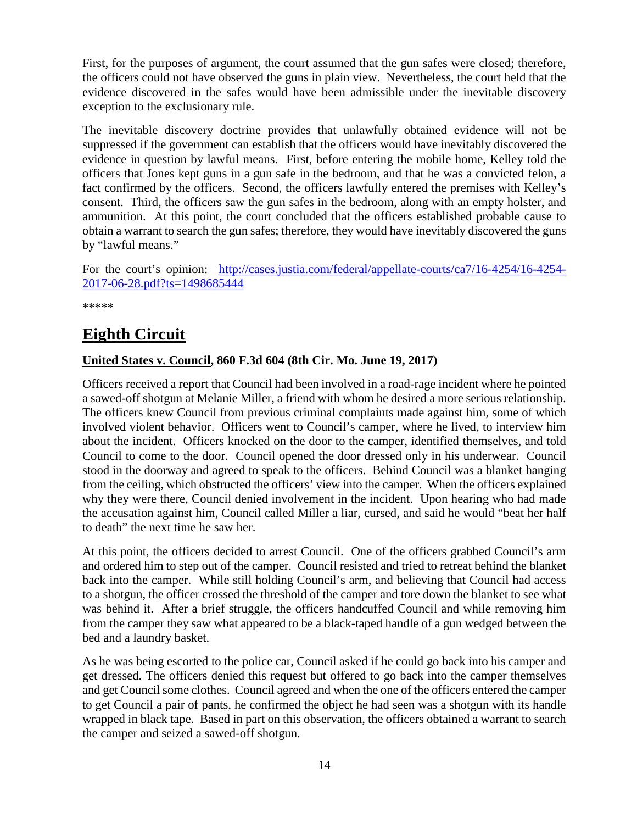First, for the purposes of argument, the court assumed that the gun safes were closed; therefore, the officers could not have observed the guns in plain view. Nevertheless, the court held that the evidence discovered in the safes would have been admissible under the inevitable discovery exception to the exclusionary rule.

The inevitable discovery doctrine provides that unlawfully obtained evidence will not be suppressed if the government can establish that the officers would have inevitably discovered the evidence in question by lawful means. First, before entering the mobile home, Kelley told the officers that Jones kept guns in a gun safe in the bedroom, and that he was a convicted felon, a fact confirmed by the officers. Second, the officers lawfully entered the premises with Kelley's consent. Third, the officers saw the gun safes in the bedroom, along with an empty holster, and ammunition. At this point, the court concluded that the officers established probable cause to obtain a warrant to search the gun safes; therefore, they would have inevitably discovered the guns by "lawful means."

For the court's opinion: [http://cases.justia.com/federal/appellate-courts/ca7/16-4254/16-4254-](http://cases.justia.com/federal/appellate-courts/ca7/16-4254/16-4254-2017-06-28.pdf?ts=1498685444) [2017-06-28.pdf?ts=1498685444](http://cases.justia.com/federal/appellate-courts/ca7/16-4254/16-4254-2017-06-28.pdf?ts=1498685444)

\*\*\*\*\*

## <span id="page-13-0"></span>**Eighth Circuit**

#### <span id="page-13-1"></span>**United States v. Council, 860 F.3d 604 (8th Cir. Mo. June 19, 2017)**

Officers received a report that Council had been involved in a road-rage incident where he pointed a sawed-off shotgun at Melanie Miller, a friend with whom he desired a more serious relationship. The officers knew Council from previous criminal complaints made against him, some of which involved violent behavior. Officers went to Council's camper, where he lived, to interview him about the incident. Officers knocked on the door to the camper, identified themselves, and told Council to come to the door. Council opened the door dressed only in his underwear. Council stood in the doorway and agreed to speak to the officers. Behind Council was a blanket hanging from the ceiling, which obstructed the officers' view into the camper. When the officers explained why they were there, Council denied involvement in the incident. Upon hearing who had made the accusation against him, Council called Miller a liar, cursed, and said he would "beat her half to death" the next time he saw her.

At this point, the officers decided to arrest Council. One of the officers grabbed Council's arm and ordered him to step out of the camper. Council resisted and tried to retreat behind the blanket back into the camper. While still holding Council's arm, and believing that Council had access to a shotgun, the officer crossed the threshold of the camper and tore down the blanket to see what was behind it. After a brief struggle, the officers handcuffed Council and while removing him from the camper they saw what appeared to be a black-taped handle of a gun wedged between the bed and a laundry basket.

As he was being escorted to the police car, Council asked if he could go back into his camper and get dressed. The officers denied this request but offered to go back into the camper themselves and get Council some clothes. Council agreed and when the one of the officers entered the camper to get Council a pair of pants, he confirmed the object he had seen was a shotgun with its handle wrapped in black tape. Based in part on this observation, the officers obtained a warrant to search the camper and seized a sawed-off shotgun.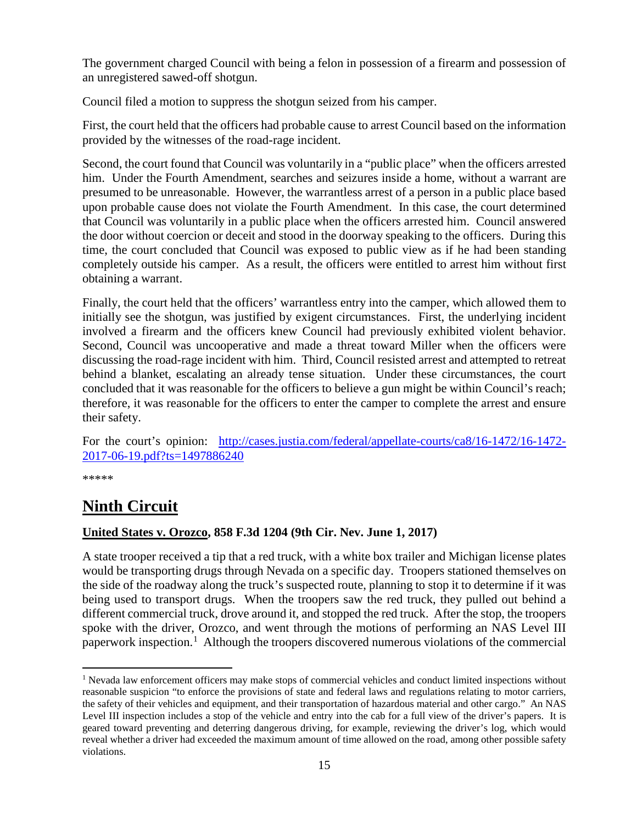The government charged Council with being a felon in possession of a firearm and possession of an unregistered sawed-off shotgun.

Council filed a motion to suppress the shotgun seized from his camper.

First, the court held that the officers had probable cause to arrest Council based on the information provided by the witnesses of the road-rage incident.

Second, the court found that Council was voluntarily in a "public place" when the officers arrested him. Under the Fourth Amendment, searches and seizures inside a home, without a warrant are presumed to be unreasonable. However, the warrantless arrest of a person in a public place based upon probable cause does not violate the Fourth Amendment. In this case, the court determined that Council was voluntarily in a public place when the officers arrested him. Council answered the door without coercion or deceit and stood in the doorway speaking to the officers. During this time, the court concluded that Council was exposed to public view as if he had been standing completely outside his camper. As a result, the officers were entitled to arrest him without first obtaining a warrant.

Finally, the court held that the officers' warrantless entry into the camper, which allowed them to initially see the shotgun, was justified by exigent circumstances. First, the underlying incident involved a firearm and the officers knew Council had previously exhibited violent behavior. Second, Council was uncooperative and made a threat toward Miller when the officers were discussing the road-rage incident with him. Third, Council resisted arrest and attempted to retreat behind a blanket, escalating an already tense situation. Under these circumstances, the court concluded that it was reasonable for the officers to believe a gun might be within Council's reach; therefore, it was reasonable for the officers to enter the camper to complete the arrest and ensure their safety.

For the court's opinion: [http://cases.justia.com/federal/appellate-courts/ca8/16-1472/16-1472-](http://cases.justia.com/federal/appellate-courts/ca8/16-1472/16-1472-2017-06-19.pdf?ts=1497886240) [2017-06-19.pdf?ts=1497886240](http://cases.justia.com/federal/appellate-courts/ca8/16-1472/16-1472-2017-06-19.pdf?ts=1497886240)

\*\*\*\*\*

## <span id="page-14-0"></span>**Ninth Circuit**

#### <span id="page-14-1"></span>**United States v. Orozco, 858 F.3d 1204 (9th Cir. Nev. June 1, 2017)**

A state trooper received a tip that a red truck, with a white box trailer and Michigan license plates would be transporting drugs through Nevada on a specific day. Troopers stationed themselves on the side of the roadway along the truck's suspected route, planning to stop it to determine if it was being used to transport drugs. When the troopers saw the red truck, they pulled out behind a different commercial truck, drove around it, and stopped the red truck. After the stop, the troopers spoke with the driver, Orozco, and went through the motions of performing an NAS Level III paperwork inspection.<sup>[1](#page-14-2)</sup> Although the troopers discovered numerous violations of the commercial

<span id="page-14-2"></span><sup>&</sup>lt;sup>1</sup> Nevada law enforcement officers may make stops of commercial vehicles and conduct limited inspections without reasonable suspicion "to enforce the provisions of state and federal laws and regulations relating to motor carriers, the safety of their vehicles and equipment, and their transportation of hazardous material and other cargo." An NAS Level III inspection includes a stop of the vehicle and entry into the cab for a full view of the driver's papers. It is geared toward preventing and deterring dangerous driving, for example, reviewing the driver's log, which would reveal whether a driver had exceeded the maximum amount of time allowed on the road, among other possible safety violations.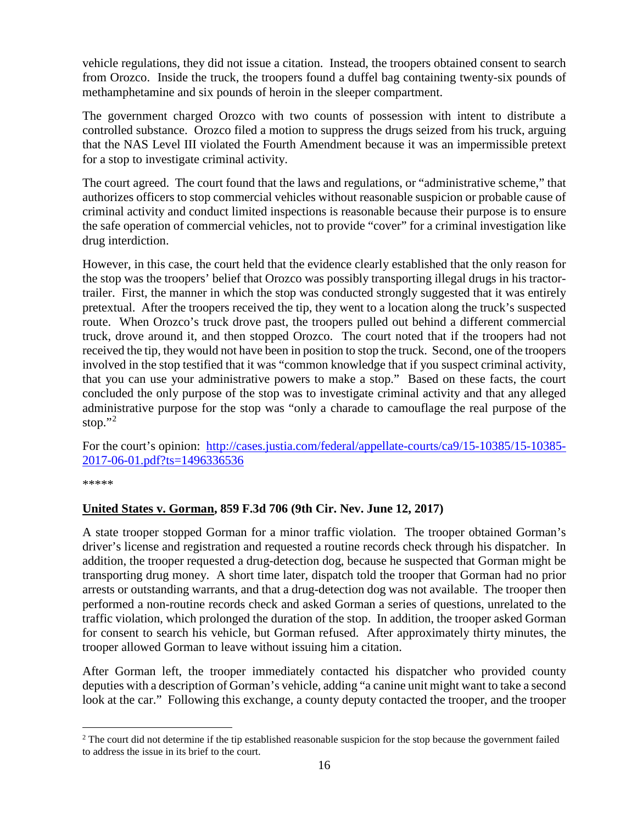vehicle regulations, they did not issue a citation. Instead, the troopers obtained consent to search from Orozco. Inside the truck, the troopers found a duffel bag containing twenty-six pounds of methamphetamine and six pounds of heroin in the sleeper compartment.

The government charged Orozco with two counts of possession with intent to distribute a controlled substance. Orozco filed a motion to suppress the drugs seized from his truck, arguing that the NAS Level III violated the Fourth Amendment because it was an impermissible pretext for a stop to investigate criminal activity.

The court agreed. The court found that the laws and regulations, or "administrative scheme," that authorizes officers to stop commercial vehicles without reasonable suspicion or probable cause of criminal activity and conduct limited inspections is reasonable because their purpose is to ensure the safe operation of commercial vehicles, not to provide "cover" for a criminal investigation like drug interdiction.

However, in this case, the court held that the evidence clearly established that the only reason for the stop was the troopers' belief that Orozco was possibly transporting illegal drugs in his tractortrailer. First, the manner in which the stop was conducted strongly suggested that it was entirely pretextual. After the troopers received the tip, they went to a location along the truck's suspected route. When Orozco's truck drove past, the troopers pulled out behind a different commercial truck, drove around it, and then stopped Orozco. The court noted that if the troopers had not received the tip, they would not have been in position to stop the truck. Second, one of the troopers involved in the stop testified that it was "common knowledge that if you suspect criminal activity, that you can use your administrative powers to make a stop." Based on these facts, the court concluded the only purpose of the stop was to investigate criminal activity and that any alleged administrative purpose for the stop was "only a charade to camouflage the real purpose of the stop." $^2$  $^2$ 

For the court's opinion: [http://cases.justia.com/federal/appellate-courts/ca9/15-10385/15-10385-](http://cases.justia.com/federal/appellate-courts/ca9/15-10385/15-10385-2017-06-01.pdf?ts=1496336536) [2017-06-01.pdf?ts=1496336536](http://cases.justia.com/federal/appellate-courts/ca9/15-10385/15-10385-2017-06-01.pdf?ts=1496336536)

\*\*\*\*\*

#### <span id="page-15-0"></span>**United States v. Gorman, 859 F.3d 706 (9th Cir. Nev. June 12, 2017)**

A state trooper stopped Gorman for a minor traffic violation. The trooper obtained Gorman's driver's license and registration and requested a routine records check through his dispatcher. In addition, the trooper requested a drug-detection dog, because he suspected that Gorman might be transporting drug money. A short time later, dispatch told the trooper that Gorman had no prior arrests or outstanding warrants, and that a drug-detection dog was not available. The trooper then performed a non-routine records check and asked Gorman a series of questions, unrelated to the traffic violation, which prolonged the duration of the stop. In addition, the trooper asked Gorman for consent to search his vehicle, but Gorman refused. After approximately thirty minutes, the trooper allowed Gorman to leave without issuing him a citation.

After Gorman left, the trooper immediately contacted his dispatcher who provided county deputies with a description of Gorman's vehicle, adding "a canine unit might want to take a second look at the car." Following this exchange, a county deputy contacted the trooper, and the trooper

<span id="page-15-1"></span> $2$  The court did not determine if the tip established reasonable suspicion for the stop because the government failed to address the issue in its brief to the court.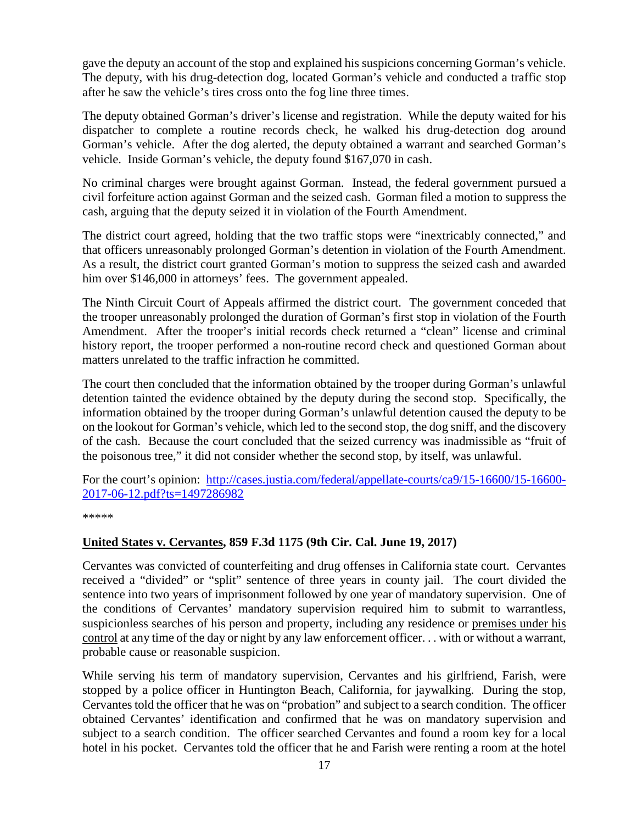gave the deputy an account of the stop and explained his suspicions concerning Gorman's vehicle. The deputy, with his drug-detection dog, located Gorman's vehicle and conducted a traffic stop after he saw the vehicle's tires cross onto the fog line three times.

The deputy obtained Gorman's driver's license and registration. While the deputy waited for his dispatcher to complete a routine records check, he walked his drug-detection dog around Gorman's vehicle. After the dog alerted, the deputy obtained a warrant and searched Gorman's vehicle. Inside Gorman's vehicle, the deputy found \$167,070 in cash.

No criminal charges were brought against Gorman. Instead, the federal government pursued a civil forfeiture action against Gorman and the seized cash. Gorman filed a motion to suppress the cash, arguing that the deputy seized it in violation of the Fourth Amendment.

The district court agreed, holding that the two traffic stops were "inextricably connected," and that officers unreasonably prolonged Gorman's detention in violation of the Fourth Amendment. As a result, the district court granted Gorman's motion to suppress the seized cash and awarded him over \$146,000 in attorneys' fees. The government appealed.

The Ninth Circuit Court of Appeals affirmed the district court. The government conceded that the trooper unreasonably prolonged the duration of Gorman's first stop in violation of the Fourth Amendment. After the trooper's initial records check returned a "clean" license and criminal history report, the trooper performed a non-routine record check and questioned Gorman about matters unrelated to the traffic infraction he committed.

The court then concluded that the information obtained by the trooper during Gorman's unlawful detention tainted the evidence obtained by the deputy during the second stop. Specifically, the information obtained by the trooper during Gorman's unlawful detention caused the deputy to be on the lookout for Gorman's vehicle, which led to the second stop, the dog sniff, and the discovery of the cash. Because the court concluded that the seized currency was inadmissible as "fruit of the poisonous tree," it did not consider whether the second stop, by itself, was unlawful.

For the court's opinion: [http://cases.justia.com/federal/appellate-courts/ca9/15-16600/15-16600-](http://cases.justia.com/federal/appellate-courts/ca9/15-16600/15-16600-2017-06-12.pdf?ts=1497286982) [2017-06-12.pdf?ts=1497286982](http://cases.justia.com/federal/appellate-courts/ca9/15-16600/15-16600-2017-06-12.pdf?ts=1497286982)

\*\*\*\*\*

#### <span id="page-16-0"></span>**United States v. Cervantes, 859 F.3d 1175 (9th Cir. Cal. June 19, 2017)**

Cervantes was convicted of counterfeiting and drug offenses in California state court. Cervantes received a "divided" or "split" sentence of three years in county jail. The court divided the sentence into two years of imprisonment followed by one year of mandatory supervision. One of the conditions of Cervantes' mandatory supervision required him to submit to warrantless, suspicionless searches of his person and property, including any residence or premises under his control at any time of the day or night by any law enforcement officer. . . with or without a warrant, probable cause or reasonable suspicion.

While serving his term of mandatory supervision, Cervantes and his girlfriend, Farish, were stopped by a police officer in Huntington Beach, California, for jaywalking. During the stop, Cervantes told the officer that he was on "probation" and subject to a search condition. The officer obtained Cervantes' identification and confirmed that he was on mandatory supervision and subject to a search condition. The officer searched Cervantes and found a room key for a local hotel in his pocket. Cervantes told the officer that he and Farish were renting a room at the hotel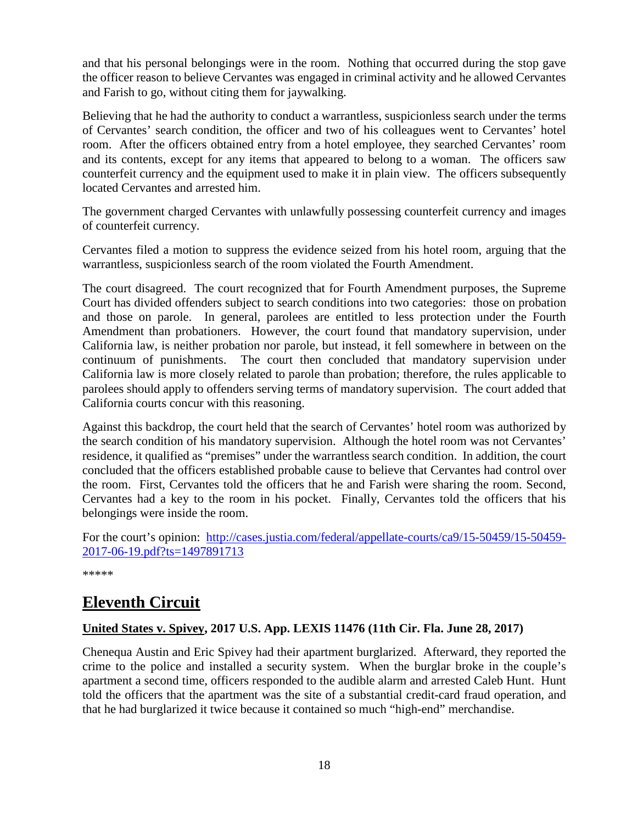and that his personal belongings were in the room. Nothing that occurred during the stop gave the officer reason to believe Cervantes was engaged in criminal activity and he allowed Cervantes and Farish to go, without citing them for jaywalking.

Believing that he had the authority to conduct a warrantless, suspicionless search under the terms of Cervantes' search condition, the officer and two of his colleagues went to Cervantes' hotel room. After the officers obtained entry from a hotel employee, they searched Cervantes' room and its contents, except for any items that appeared to belong to a woman. The officers saw counterfeit currency and the equipment used to make it in plain view. The officers subsequently located Cervantes and arrested him.

The government charged Cervantes with unlawfully possessing counterfeit currency and images of counterfeit currency.

Cervantes filed a motion to suppress the evidence seized from his hotel room, arguing that the warrantless, suspicionless search of the room violated the Fourth Amendment.

The court disagreed. The court recognized that for Fourth Amendment purposes, the Supreme Court has divided offenders subject to search conditions into two categories: those on probation and those on parole. In general, parolees are entitled to less protection under the Fourth Amendment than probationers. However, the court found that mandatory supervision, under California law, is neither probation nor parole, but instead, it fell somewhere in between on the continuum of punishments. The court then concluded that mandatory supervision under California law is more closely related to parole than probation; therefore, the rules applicable to parolees should apply to offenders serving terms of mandatory supervision. The court added that California courts concur with this reasoning.

Against this backdrop, the court held that the search of Cervantes' hotel room was authorized by the search condition of his mandatory supervision. Although the hotel room was not Cervantes' residence, it qualified as "premises" under the warrantless search condition. In addition, the court concluded that the officers established probable cause to believe that Cervantes had control over the room. First, Cervantes told the officers that he and Farish were sharing the room. Second, Cervantes had a key to the room in his pocket. Finally, Cervantes told the officers that his belongings were inside the room.

For the court's opinion: [http://cases.justia.com/federal/appellate-courts/ca9/15-50459/15-50459-](http://cases.justia.com/federal/appellate-courts/ca9/15-50459/15-50459-2017-06-19.pdf?ts=1497891713) [2017-06-19.pdf?ts=1497891713](http://cases.justia.com/federal/appellate-courts/ca9/15-50459/15-50459-2017-06-19.pdf?ts=1497891713)

\*\*\*\*\*

## <span id="page-17-0"></span>**Eleventh Circuit**

#### <span id="page-17-1"></span>**United States v. Spivey, 2017 U.S. App. LEXIS 11476 (11th Cir. Fla. June 28, 2017)**

Chenequa Austin and Eric Spivey had their apartment burglarized. Afterward, they reported the crime to the police and installed a security system. When the burglar broke in the couple's apartment a second time, officers responded to the audible alarm and arrested Caleb Hunt. Hunt told the officers that the apartment was the site of a substantial credit-card fraud operation, and that he had burglarized it twice because it contained so much "high-end" merchandise.